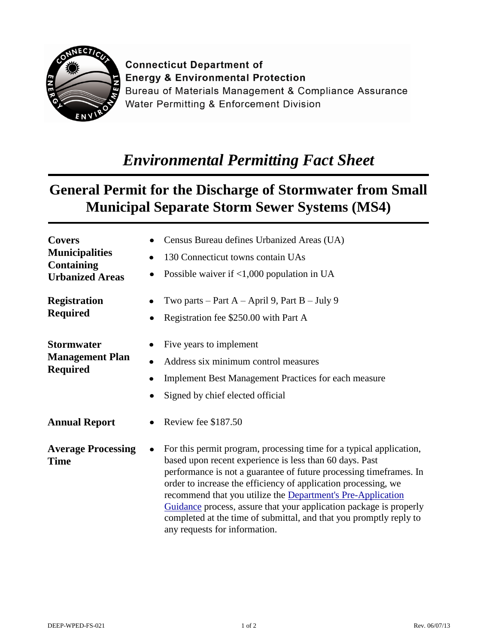

**Connecticut Department of Energy & Environmental Protection** Bureau of Materials Management & Compliance Assurance Water Permitting & Enforcement Division

## *Environmental Permitting Fact Sheet*

## **General Permit for the Discharge of Stormwater from Small Municipal Separate Storm Sewer Systems (MS4)**

| <b>Covers</b><br><b>Municipalities</b><br><b>Containing</b><br><b>Urbanized Areas</b> | Census Bureau defines Urbanized Areas (UA)<br>130 Connecticut towns contain UAs<br>$\bullet$<br>Possible waiver if $\langle 1,000 \rangle$ population in UA                                                                                                                                                                                                                                                                                                                                                         |
|---------------------------------------------------------------------------------------|---------------------------------------------------------------------------------------------------------------------------------------------------------------------------------------------------------------------------------------------------------------------------------------------------------------------------------------------------------------------------------------------------------------------------------------------------------------------------------------------------------------------|
| <b>Registration</b><br>Required                                                       | Two parts – Part $A$ – April 9, Part $B$ – July 9<br>Registration fee \$250.00 with Part A                                                                                                                                                                                                                                                                                                                                                                                                                          |
| Stormwater<br><b>Management Plan</b><br><b>Required</b>                               | Five years to implement<br>Address six minimum control measures<br>٠<br><b>Implement Best Management Practices for each measure</b><br>$\bullet$<br>Signed by chief elected official<br>$\bullet$                                                                                                                                                                                                                                                                                                                   |
| <b>Annual Report</b>                                                                  | Review fee \$187.50                                                                                                                                                                                                                                                                                                                                                                                                                                                                                                 |
| <b>Average Processing</b><br>Time                                                     | For this permit program, processing time for a typical application,<br>based upon recent experience is less than 60 days. Past<br>performance is not a guarantee of future processing time frames. In<br>order to increase the efficiency of application processing, we<br>recommend that you utilize the Department's Pre-Application<br>Guidance process, assure that your application package is properly<br>completed at the time of submittal, and that you promptly reply to<br>any requests for information. |